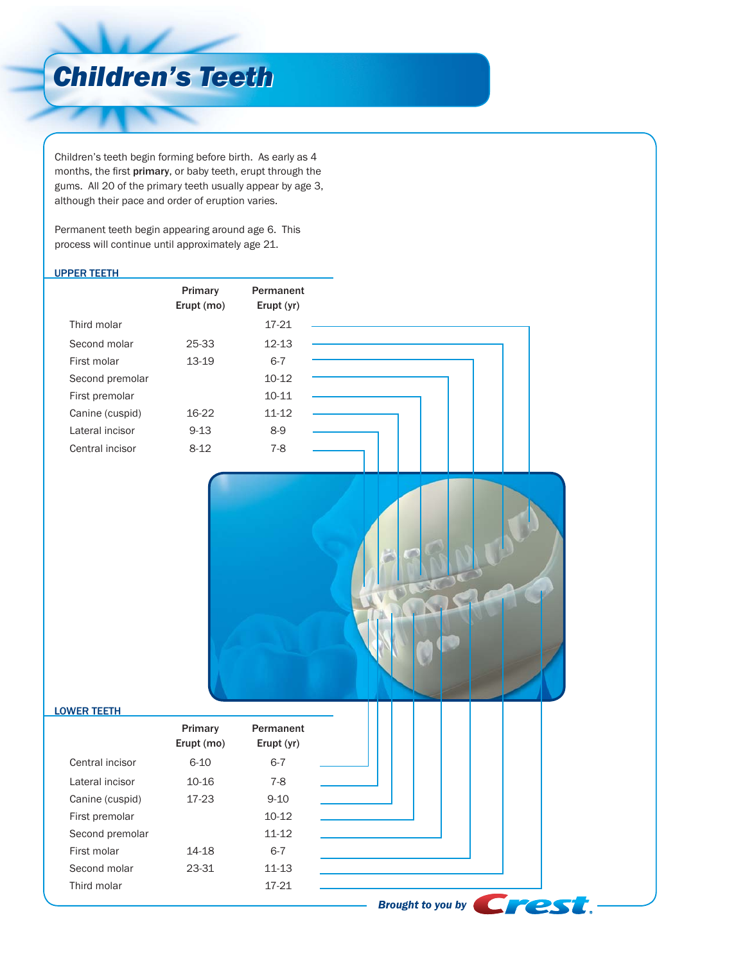# *Children's Teeth Children's Teeth*

Children's teeth begin forming before birth. As early as 4 months, the first primary, or baby teeth, erupt through the gums. All 20 of the primary teeth usually appear by age 3, although their pace and order of eruption varies.

Permanent teeth begin appearing around age 6. This process will continue until approximately age 21.

#### UPPER TEETH

|                 | Primary<br>Erupt (mo) | Permanent<br>Erupt (yr) |  |
|-----------------|-----------------------|-------------------------|--|
| Third molar     |                       | 17-21                   |  |
| Second molar    | 25-33                 | $12 - 13$               |  |
| First molar     | 13-19                 | $6 - 7$                 |  |
| Second premolar |                       | $10 - 12$               |  |
| First premolar  |                       | $10 - 11$               |  |
| Canine (cuspid) | 16-22                 | $11 - 12$               |  |
| Lateral incisor | $9 - 13$              | $8-9$                   |  |
| Central incisor | $8 - 12$              | $7 - 8$                 |  |



### LOWER TEETH

| Primary<br>Permanent<br>Erupt (mo)<br>Erupt (yr)<br>$6 - 7$<br>$6 - 10$<br>Central incisor<br>$10 - 16$<br>7-8<br>Lateral incisor<br>17-23<br>$9 - 10$<br>Canine (cuspid)<br>$10-12$<br>First premolar<br>$11 - 12$<br>Second premolar<br>$6-7$<br>First molar<br>14-18 |
|-------------------------------------------------------------------------------------------------------------------------------------------------------------------------------------------------------------------------------------------------------------------------|
|                                                                                                                                                                                                                                                                         |
|                                                                                                                                                                                                                                                                         |
|                                                                                                                                                                                                                                                                         |
|                                                                                                                                                                                                                                                                         |
|                                                                                                                                                                                                                                                                         |
|                                                                                                                                                                                                                                                                         |
|                                                                                                                                                                                                                                                                         |
| Second molar<br>23-31<br>$11 - 13$                                                                                                                                                                                                                                      |
| 17-21<br>Third molar                                                                                                                                                                                                                                                    |
| <b>Brought to you by</b>                                                                                                                                                                                                                                                |